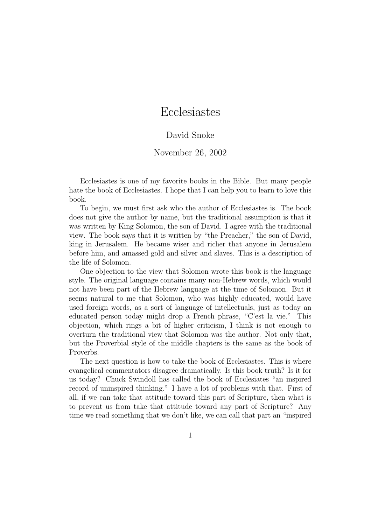## Ecclesiastes

## David Snoke

## November 26, 2002

Ecclesiastes is one of my favorite books in the Bible. But many people hate the book of Ecclesiastes. I hope that I can help you to learn to love this book.

To begin, we must first ask who the author of Ecclesiastes is. The book does not give the author by name, but the traditional assumption is that it was written by King Solomon, the son of David. I agree with the traditional view. The book says that it is written by "the Preacher," the son of David, king in Jerusalem. He became wiser and richer that anyone in Jerusalem before him, and amassed gold and silver and slaves. This is a description of the life of Solomon.

One objection to the view that Solomon wrote this book is the language style. The original language contains many non-Hebrew words, which would not have been part of the Hebrew language at the time of Solomon. But it seems natural to me that Solomon, who was highly educated, would have used foreign words, as a sort of language of intellectuals, just as today an educated person today might drop a French phrase, "C'est la vie." This objection, which rings a bit of higher criticism, I think is not enough to overturn the traditional view that Solomon was the author. Not only that, but the Proverbial style of the middle chapters is the same as the book of Proverbs.

The next question is how to take the book of Ecclesiastes. This is where evangelical commentators disagree dramatically. Is this book truth? Is it for us today? Chuck Swindoll has called the book of Ecclesiates "an inspired record of uninspired thinking." I have a lot of problems with that. First of all, if we can take that attitude toward this part of Scripture, then what is to prevent us from take that attitude toward any part of Scripture? Any time we read something that we don't like, we can call that part an "inspired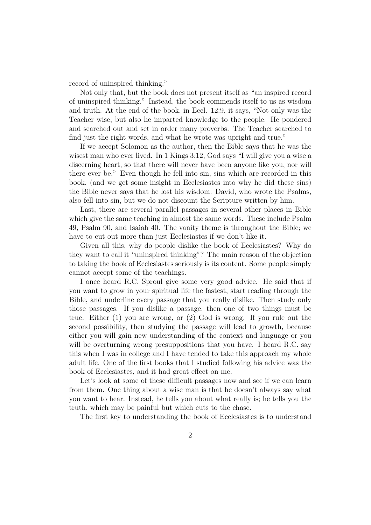record of uninspired thinking."

Not only that, but the book does not present itself as "an inspired record of uninspired thinking." Instead, the book commends itself to us as wisdom and truth. At the end of the book, in Eccl. 12:9, it says, "Not only was the Teacher wise, but also he imparted knowledge to the people. He pondered and searched out and set in order many proverbs. The Teacher searched to find just the right words, and what he wrote was upright and true."

If we accept Solomon as the author, then the Bible says that he was the wisest man who ever lived. In 1 Kings 3:12, God says "I will give you a wise a discerning heart, so that there will never have been anyone like you, nor will there ever be." Even though he fell into sin, sins which are recorded in this book, (and we get some insight in Ecclesiastes into why he did these sins) the Bible never says that he lost his wisdom. David, who wrote the Psalms, also fell into sin, but we do not discount the Scripture written by him.

Last, there are several parallel passages in several other places in Bible which give the same teaching in almost the same words. These include Psalm 49, Psalm 90, and Isaiah 40. The vanity theme is throughout the Bible; we have to cut out more than just Ecclesiastes if we don't like it.

Given all this, why do people dislike the book of Ecclesiastes? Why do they want to call it "uninspired thinking"? The main reason of the objection to taking the book of Ecclesiastes seriously is its content. Some people simply cannot accept some of the teachings.

I once heard R.C. Sproul give some very good advice. He said that if you want to grow in your spiritual life the fastest, start reading through the Bible, and underline every passage that you really dislike. Then study only those passages. If you dislike a passage, then one of two things must be true. Either (1) you are wrong, or (2) God is wrong. If you rule out the second possibility, then studying the passage will lead to growth, because either you will gain new understanding of the context and language or you will be overturning wrong presuppositions that you have. I heard R.C. say this when I was in college and I have tended to take this approach my whole adult life. One of the first books that I studied following his advice was the book of Ecclesiastes, and it had great effect on me.

Let's look at some of these difficult passages now and see if we can learn from them. One thing about a wise man is that he doesn't always say what you want to hear. Instead, he tells you about what really is; he tells you the truth, which may be painful but which cuts to the chase.

The first key to understanding the book of Ecclesiastes is to understand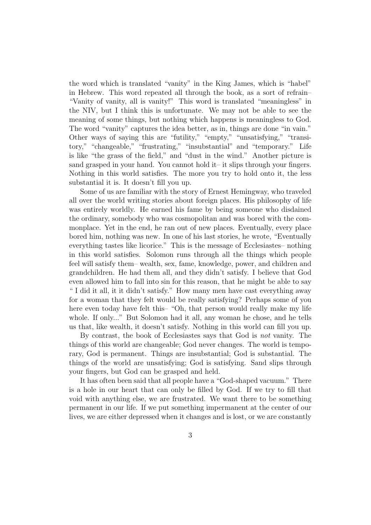the word which is translated "vanity" in the King James, which is "habel" in Hebrew. This word repeated all through the book, as a sort of refrain– "Vanity of vanity, all is vanity!" This word is translated "meaningless" in the NIV, but I think this is unfortunate. We may not be able to see the meaning of some things, but nothing which happens is meaningless to God. The word "vanity" captures the idea better, as in, things are done "in vain." Other ways of saying this are "futility," "empty," "unsatisfying," "transitory," "changeable," "frustrating," "insubstantial" and "temporary." Life is like "the grass of the field," and "dust in the wind." Another picture is sand grasped in your hand. You cannot hold it– it slips through your fingers. Nothing in this world satisfies. The more you try to hold onto it, the less substantial it is. It doesn't fill you up.

Some of us are familiar with the story of Ernest Hemingway, who traveled all over the world writing stories about foreign places. His philosophy of life was entirely worldly. He earned his fame by being someone who disdained the ordinary, somebody who was cosmopolitan and was bored with the commonplace. Yet in the end, he ran out of new places. Eventually, every place bored him, nothing was new. In one of his last stories, he wrote, "Eventually everything tastes like licorice." This is the message of Ecclesiastes– nothing in this world satisfies. Solomon runs through all the things which people feel will satisfy them– wealth, sex, fame, knowledge, power, and children and grandchildren. He had them all, and they didn't satisfy. I believe that God even allowed him to fall into sin for this reason, that he might be able to say " I did it all, it it didn't satisfy." How many men have cast everything away for a woman that they felt would be really satisfying? Perhaps some of you here even today have felt this– "Oh, that person would really make my life whole. If only..." But Solomon had it all, any woman he chose, and he tells us that, like wealth, it doesn't satisfy. Nothing in this world can fill you up.

By contrast, the book of Ecclesiastes says that God is not vanity. The things of this world are changeable; God never changes. The world is temporary, God is permanent. Things are insubstantial; God is substantial. The things of the world are unsatisfying; God is satisfying. Sand slips through your fingers, but God can be grasped and held.

It has often been said that all people have a "God-shaped vacuum." There is a hole in our heart that can only be filled by God. If we try to fill that void with anything else, we are frustrated. We want there to be something permanent in our life. If we put something impermanent at the center of our lives, we are either depressed when it changes and is lost, or we are constantly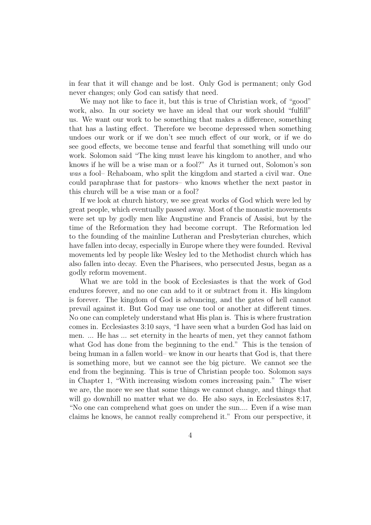in fear that it will change and be lost. Only God is permanent; only God never changes; only God can satisfy that need.

We may not like to face it, but this is true of Christian work, of "good" work, also. In our society we have an ideal that our work should "fulfill" us. We want our work to be something that makes a difference, something that has a lasting effect. Therefore we become depressed when something undoes our work or if we don't see much effect of our work, or if we do see good effects, we become tense and fearful that something will undo our work. Solomon said "The king must leave his kingdom to another, and who knows if he will be a wise man or a fool?" As it turned out, Solomon's son was a fool– Rehaboam, who split the kingdom and started a civil war. One could paraphrase that for pastors– who knows whether the next pastor in this church will be a wise man or a fool?

If we look at church history, we see great works of God which were led by great people, which eventually passed away. Most of the monastic movements were set up by godly men like Augustine and Francis of Assisi, but by the time of the Reformation they had become corrupt. The Reformation led to the founding of the mainline Lutheran and Presbyterian churches, which have fallen into decay, especially in Europe where they were founded. Revival movements led by people like Wesley led to the Methodist church which has also fallen into decay. Even the Pharisees, who persecuted Jesus, began as a godly reform movement.

What we are told in the book of Ecclesiastes is that the work of God endures forever, and no one can add to it or subtract from it. His kingdom is forever. The kingdom of God is advancing, and the gates of hell cannot prevail against it. But God may use one tool or another at different times. No one can completely understand what His plan is. This is where frustration comes in. Ecclesiastes 3:10 says, "I have seen what a burden God has laid on men. ... He has ... set eternity in the hearts of men, yet they cannot fathom what God has done from the beginning to the end." This is the tension of being human in a fallen world– we know in our hearts that God is, that there is something more, but we cannot see the big picture. We cannot see the end from the beginning. This is true of Christian people too. Solomon says in Chapter 1, "With increasing wisdom comes increasing pain." The wiser we are, the more we see that some things we cannot change, and things that will go downhill no matter what we do. He also says, in Ecclesiastes 8:17, "No one can comprehend what goes on under the sun.... Even if a wise man claims he knows, he cannot really comprehend it." From our perspective, it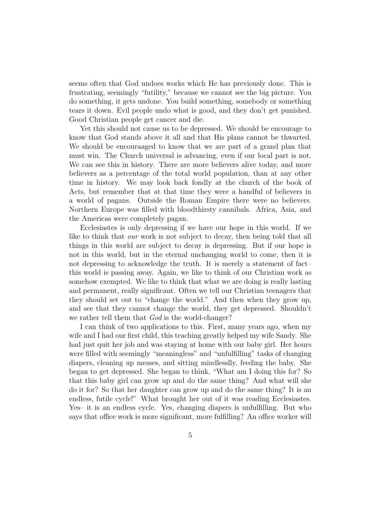seems often that God undoes works which He has previously done. This is frustrating, seemingly "futility," because we cannot see the big picture. You do something, it gets undone. You build something, somebody or something tears it down. Evil people undo what is good, and they don't get punished. Good Christian people get cancer and die.

Yet this should not cause us to be depressed. We should be encourage to know that God stands above it all and that His plans cannot be thwarted. We should be encouraaged to know that we are part of a grand plan that must win. The Church universal is advancing, even if our local part is not. We can see this in history. There are more believers alive today, and more believers as a percentage of the total world population, than at any other time in history. We may look back fondly at the church of the book of Acts, but remember that at that time they were a handful of believers in a world of pagans. Outside the Roman Empire there were no believers. Northern Europe was filled with bloodthirsty cannibals. Africa, Asia, and the Americas were completely pagan.

Ecclesiastes is only depressing if we have our hope in this world. If we like to think that *our* work is not subject to decay, then being told that all things in this world are subject to decay is depressing. But if our hope is not in this world, but in the eternal unchanging world to come, then it is not depressing to acknowledge the truth. It is merely a statement of fact– this world is passing away. Again, we like to think of our Christian work as somehow exempted. We like to think that what we are doing is really lasting and permanent, really significant. Often we tell our Christian teenagers that they should set out to "change the world." And then when they grow up, and see that they cannot change the world, they get depressed. Shouldn't we rather tell them that  $God$  is the world-changer?

I can think of two applications to this. First, many years ago, when my wife and I had our first child, this teaching greatly helped my wife Sandy. She had just quit her job and was staying at home with our baby girl. Her hours were filled with seemingly "meaningless" and "unfulfilling" tasks of changing diapers, cleaning up messes, and sitting mindlesslly, feeding the baby. She began to get depressed. She began to think, "What am I doing this for? So that this baby girl can grow up and do the same thing? And what will she do it for? So that her daughter can grow up and do the same thing? It is an endless, futile cycle!" What brought her out of it was reading Ecclesiastes. Yes– it is an endless cycle. Yes, changing diapers is unfulfilling. But who says that office work is more significant, more fulfilling? An office worker will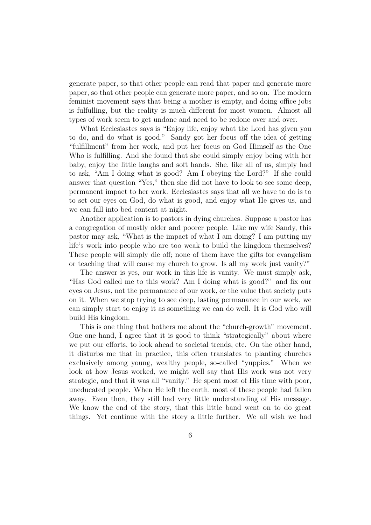generate paper, so that other people can read that paper and generate more paper, so that other people can generate more paper, and so on. The modern feminist movement says that being a mother is empty, and doing office jobs is fulfulling, but the reality is much different for most women. Almost all types of work seem to get undone and need to be redone over and over.

What Ecclesiastes says is "Enjoy life, enjoy what the Lord has given you to do, and do what is good." Sandy got her focus off the idea of getting "fulfillment" from her work, and put her focus on God Himself as the One Who is fulfilling. And she found that she could simply enjoy being with her baby, enjoy the little laughs and soft hands. She, like all of us, simply had to ask, "Am I doing what is good? Am I obeying the Lord?" If she could answer that question "Yes," then she did not have to look to see some deep, permanent impact to her work. Ecclesiastes says that all we have to do is to to set our eyes on God, do what is good, and enjoy what He gives us, and we can fall into bed content at night.

Another application is to pastors in dying churches. Suppose a pastor has a congregation of mostly older and poorer people. Like my wife Sandy, this pastor may ask, "What is the impact of what I am doing? I am putting my life's work into people who are too weak to build the kingdom themselves? These people will simply die off; none of them have the gifts for evangelism or teaching that will cause my church to grow. Is all my work just vanity?"

The answer is yes, our work in this life is vanity. We must simply ask, "Has God called me to this work? Am I doing what is good?" and fix our eyes on Jesus, not the permanance of our work, or the value that society puts on it. When we stop trying to see deep, lasting permanance in our work, we can simply start to enjoy it as something we can do well. It is God who will build His kingdom.

This is one thing that bothers me about the "church-growth" movement. One one hand, I agree that it is good to think "strategically" about where we put our efforts, to look ahead to societal trends, etc. On the other hand, it disturbs me that in practice, this often translates to planting churches exclusively among young, wealthy people, so-called "yuppies." When we look at how Jesus worked, we might well say that His work was not very strategic, and that it was all "vanity." He spent most of His time with poor, uneducated people. When He left the earth, most of these people had fallen away. Even then, they still had very little understanding of His message. We know the end of the story, that this little band went on to do great things. Yet continue with the story a little further. We all wish we had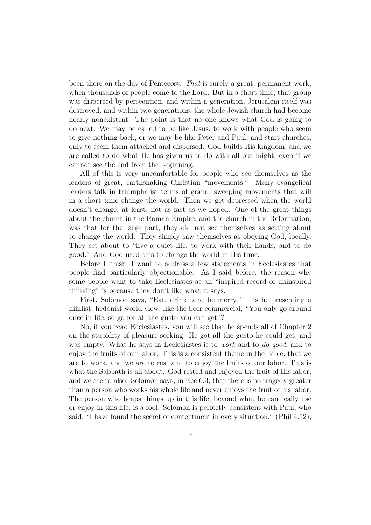been there on the day of Pentecost. That is surely a great, permanent work, when thousands of people come to the Lord. But in a short time, that group was dispersed by persecution, and within a generation, Jerusalem itself was destroyed, and within two generations, the whole Jewish church had become nearly nonexistent. The point is that no one knows what God is going to do next. We may be called to be like Jesus, to work with people who seem to give nothing back, or we may be like Peter and Paul, and start churches, only to seem them attacked and dispersed. God builds His kingdom, and we are called to do what He has given us to do with all our might, even if we cannot see the end from the beginning.

All of this is very uncomfortable for people who see themselves as the leaders of great, earthshaking Christian "movements." Many evangelical leaders talk in triumphalist terms of grand, sweeping movements that will in a short time change the world. Then we get depressed when the world doesn't change, at least, not as fast as we hoped. One of the great things about the church in the Roman Empire, and the church in the Reformation, was that for the large part, they did not see themselves as setting about to change the world. They simply saw themselves as obeying God, locally. They set about to "live a quiet life, to work with their hands, and to do good." And God used this to change the world in His time.

Before I finish, I want to address a few statements in Ecclesiastes that people find particularly objectionable. As I said before, the reason why some people want to take Ecclesiastes as an "inspired record of uninspired thinking" is because they don't like what it says.

First, Solomon says, "Eat, drink, and be merry." Is he presenting a nihilist, hedonist world view, like the beer commercial, "You only go around once in life, so go for all the gusto you can get"?

No, if you read Ecclesiastes, you will see that he spends all of Chapter 2 on the stupidity of pleasure-seeking. He got all the gusto he could get, and was empty. What he says in Ecclesiastes is to *work* and to *do good*, and to enjoy the fruits of our labor. This is a consistent theme in the Bible, that we are to work, and we are to rest and to enjoy the fruits of our labor. This is what the Sabbath is all about. God rested and enjoyed the fruit of His labor, and we are to also. Solomon says, in Ecc 6:3, that there is no tragedy greater than a person who works his whole life and never enjoys the fruit of his labor. The person who heaps things up in this life, beyond what he can really use or enjoy in this life, is a fool. Solomon is perfectly consistent with Paul, who said, "I have found the secret of contentment in every situation," (Phil 4:12),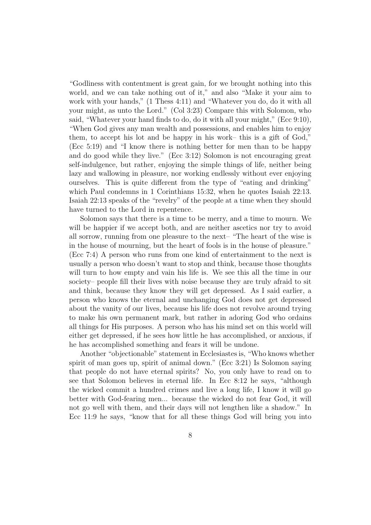"Godliness with contentment is great gain, for we brought nothing into this world, and we can take nothing out of it," and also "Make it your aim to work with your hands," (1 Thess 4:11) and "Whatever you do, do it with all your might, as unto the Lord." (Col 3:23) Compare this with Solomon, who said, "Whatever your hand finds to do, do it with all your might," (Ecc 9:10), "When God gives any man wealth and possessions, and enables him to enjoy them, to accept his lot and be happy in his work– this is a gift of God," (Ecc 5:19) and "I know there is nothing better for men than to be happy and do good while they live." (Ecc 3:12) Solomon is not encouraging great self-indulgence, but rather, enjoying the simple things of life, neither being lazy and wallowing in pleasure, nor working endlessly without ever enjoying ourselves. This is quite different from the type of "eating and drinking" which Paul condemns in 1 Corinthians 15:32, when he quotes Isaiah 22:13. Isaiah 22:13 speaks of the "revelry" of the people at a time when they should have turned to the Lord in repentence.

Solomon says that there is a time to be merry, and a time to mourn. We will be happier if we accept both, and are neither ascetics nor try to avoid all sorrow, running from one pleasure to the next– "The heart of the wise is in the house of mourning, but the heart of fools is in the house of pleasure." (Ecc 7:4) A person who runs from one kind of entertainment to the next is usually a person who doesn't want to stop and think, because those thoughts will turn to how empty and vain his life is. We see this all the time in our society– people fill their lives with noise because they are truly afraid to sit and think, because they know they will get depressed. As I said earlier, a person who knows the eternal and unchanging God does not get depressed about the vanity of our lives, because his life does not revolve around trying to make his own permanent mark, but rather in adoring God who ordains all things for His purposes. A person who has his mind set on this world will either get depressed, if he sees how little he has accomplished, or anxious, if he has accomplished something and fears it will be undone.

Another "objectionable" statement in Ecclesiastes is, "Who knows whether spirit of man goes up, spirit of animal down." (Ecc 3:21) Is Solomon saying that people do not have eternal spirits? No, you only have to read on to see that Solomon believes in eternal life. In Ecc 8:12 he says, "although the wicked commit a hundred crimes and live a long life, I know it will go better with God-fearing men... because the wicked do not fear God, it will not go well with them, and their days will not lengthen like a shadow." In Ecc 11:9 he says, "know that for all these things God will bring you into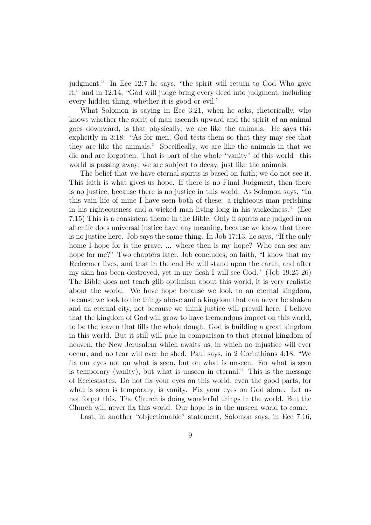judgment." In Ecc 12:7 he says, "the spirit will return to God Who gave it," and in 12:14, "God will judge bring every deed into judgment, including every hidden thing, whether it is good or evil."

What Solomon is saying in Ecc 3:21, when he asks, rhetorically, who knows whether the spirit of man ascends upward and the spirit of an animal goes downward, is that physically, we are like the animals. He says this explicitly in 3:18: "As for men, God tests them so that they may see that they are like the animals." Specifically, we are like the animals in that we die and are forgotten. That is part of the whole "vanity" of this world– this world is passing away; we are subject to decay, just like the animals.

The belief that we have eternal spirits is based on faith; we do not see it. This faith is what gives us hope. If there is no Final Judgment, then there is no justice, because there is no justice in this world. As Solomon says, "In this vain life of mine I have seen both of these: a righteous man perishing in his righteousness and a wicked man living long in his wickedness." (Ecc 7:15) This is a consistent theme in the Bible. Only if spirits are judged in an afterlife does universal justice have any meaning, because we know that there is no justice here. Job says the same thing. In Job 17:13, he says, "If the only home I hope for is the grave, ... where then is my hope? Who can see any hope for me?" Two chapters later, Job concludes, on faith, "I know that my Redeemer lives, and that in the end He will stand upon the earth, and after my skin has been destroyed, yet in my flesh I will see God." (Job 19:25-26) The Bible does not teach glib optimism about this world; it is very realistic about the world. We have hope because we look to an eternal kingdom, because we look to the things above and a kingdom that can never be shaken and an eternal city, not because we think justice will prevail here. I believe that the kingdom of God will grow to have tremendous impact on this world, to be the leaven that fills the whole dough. God is building a great kingdom in this world. But it still will pale in comparison to that eternal kingdom of heaven, the New Jerusalem which awaits us, in which no injustice will ever occur, and no tear will ever be shed. Paul says, in 2 Corinthians 4:18, "We fix our eyes not on what is seen, but on what is unseen. For what is seen is temporary (vanity), but what is unseen in eternal." This is the message of Ecclesiastes. Do not fix your eyes on this world, even the good parts, for what is seen is temporary, is vanity. Fix your eyes on God alone. Let us not forget this. The Church is doing wonderful things in the world. But the Church will never fix this world. Our hope is in the unseen world to come.

Last, in another "objectionable" statement, Solomon says, in Ecc 7:16,